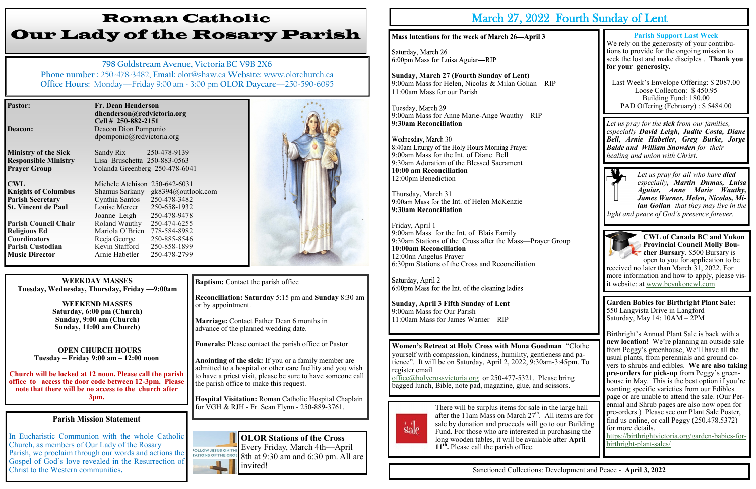| <b>Pastor:</b>              | <b>Fr. Dean Henderson</b><br>dhenderson@rcdvictoria.org<br>Cell # 250-882-2151 |  |  |
|-----------------------------|--------------------------------------------------------------------------------|--|--|
| <b>Deacon:</b>              | Deacon Dion Pomponio                                                           |  |  |
|                             | dpomponio@rcdvictoria.org                                                      |  |  |
| <b>Ministry of the Sick</b> | Sandy Rix 250-478-9139                                                         |  |  |
| <b>Responsible Ministry</b> | Lisa Bruschetta 250-883-0563                                                   |  |  |
| <b>Prayer Group</b>         | Yolanda Greenberg 250-478-6041                                                 |  |  |
| CWL                         | Michele Atchison 250-642-6031                                                  |  |  |
| <b>Knights of Columbus</b>  | Shamus Sarkany gk8394@outlook.com                                              |  |  |
| <b>Parish Secretary</b>     | 250-478-3482<br>Cynthia Santos                                                 |  |  |
| <b>St. Vincent de Paul</b>  | Louise Mercer<br>250-658-1932                                                  |  |  |
|                             | 250-478-9478<br>Joanne Leigh                                                   |  |  |
| <b>Parish Council Chair</b> | 250-474-6255<br>Roland Wauthy                                                  |  |  |
| <b>Religious Ed</b>         | Mariola O'Brien<br>778-584-8982                                                |  |  |
| <b>Coordinators</b>         | Reeja George<br>250-885-8546                                                   |  |  |

# Roman Catholic Our Lady of the Rosary Parish

**798 Goldstream Avenue, Victoria BC V9B 2X6 Phone number :** 250-478-3482, **Email:** olor@shaw.ca **Website:** www.olorchurch.ca **Office Hours:** Monday—Friday 9:00 am - 3:00 pm **OLOR Daycare**—250-590-6095

> **Reconciliation: Saturday** 5:15 pm and **Sunday** 8:30 am or by appointment.

**Marriage:** Contact Father Dean 6 months in advance of the planned wedding date.

**Funerals:** Please contact the parish office or Pastor

Tuesday, March 29 9:00am Mass for Anne Marie-Ange Wauthy—RIP **9:30am Reconciliation**

**Anointing of the sick:** If you or a family member are admitted to a hospital or other care facility and you wish to have a priest visit, please be sure to have someone call the parish office to make this request.

Wednesday, March 30 8:40am Liturgy of the Holy Hours Morning Prayer 9:00am Mass for the Int. of Diane Bell 9:30am Adoration of the Blessed Sacrament **10:00 am Reconciliation**  12:00pm Benediction

**Hospital Visitation:** Roman Catholic Hospital Chaplain for VGH & RJH - Fr. Sean Flynn - 250-889-3761.

**WEEKDAY MASSES Tuesday, Wednesday, Thursday, Friday —9:00am**

**Parish Custodian Kevin Stafford** 250-858-1899<br> **Music Director Arnie Habetler** 250-478-2799

**Music Director Arnie Habetler** 

**WEEKEND MASSES Saturday, 6:00 pm (Church) Sunday, 9:00 am (Church) Sunday, 11:00 am Church)**

**OPEN CHURCH HOURS Tuesday – Friday 9:00 am – 12:00 noon**

**Church will be locked at 12 noon. Please call the parish office to access the door code between 12-3pm. Please note that there will be no access to the church after 3pm.** 

**OLOR Stations of the Cross**

Every Friday, March 4th—April **OLLOW JESUS ON THE TATIONS OF THE CROS** 8th at 9:30 am and 6:30 pm. All are invited!

### Mass Intentions for the week of March 26-April 3

Saturday, March 26 6:00pm Mass for Luisa Aguiar-RIP

### **Parish Mission Statement**

In Eucharistic Communion with the whole Catholic Church, as members of Our Lady of the Rosary Parish, we proclaim through our words and actions the Gospel of God's love revealed in the Resurrection of Christ to the Western communities**.** 

[office@holycrossvictoria.org](mailto:office@holycrossvictoria.org) or 250-477-5321. Please bring bagged lunch, Bible, note pad, magazine, glue, and scissors.





**Baptism:** Contact the parish office

## March 27, 2022 Fourth Sunday of Lent

**Sunday, March 27 (Fourth Sunday of Lent)** 9:00am Mass for Helen, Nicolas & Milan Golian—RIP 11:00am Mass for our Parish

Thursday, March 31 9:00am Mass for the Int. of Helen McKenzie **9:30am Reconciliation**

Friday, April 1 9:00am Mass for the Int. of Blais Family 9:30am Stations of the Cross after the Mass—Prayer Group **10:00am Reconciliation** 12:00nn Angelus Prayer 6:30pm Stations of the Cross and Reconciliation

Saturday, April 2 6:00pm Mass for the Int. of the cleaning ladies

**Sunday, April 3 Fifth Sunday of Lent** 9:00am Mass for Our Parish 11:00am Mass for James Warner—RIP

**Women's Retreat at Holy Cross with Mona Goodman** "Clothe yourself with compassion, kindness, humility, gentleness and patience". It will be on Saturday, April 2, 2022, 9:30am-3:45pm. To register email



There will be surplus items for sale in the large hall after the 11am Mass on March  $27<sup>th</sup>$ . All items are for sale by donation and proceeds will go to our Building Fund. For those who are interested in purchasing the long wooden tables, it will be available after **April 11th .** Please call the parish office.